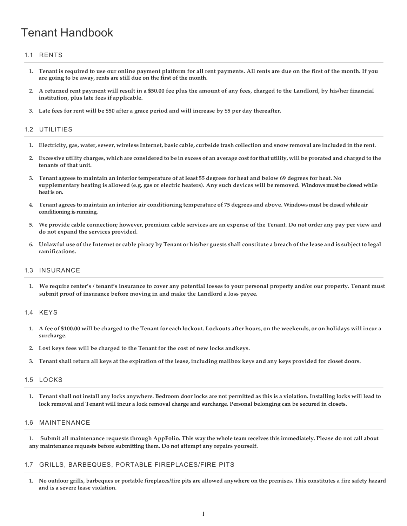# Tenant Handbook

# 1.1 RENTS

- **1. Tenant is required to use our online payment platform for all rent payments. All rents are due on the first of the month. If you are going to be away, rents are still due on the first of the month.**
- **2. A returned rent payment will result in a \$50.00 fee plus the amount of any fees, charged to the Landlord, by his/her financial institution, plus late fees if applicable.**
- 3. Late fees for rent will be \$50 after a grace period and will increase by \$5 per day thereafter.

## 1.2 UTILITIES

- 1. Electricity, gas, water, sewer, wireless Internet, basic cable, curbside trash collection and snow removal are included in the rent.
- 2. Excessive utility charges, which are considered to be in excess of an average cost for that utility, will be prorated and charged to the **tenants of that unit.**
- 3. Tenant agrees to maintain an interior temperature of at least 55 degrees for heat and below 69 degrees for heat. No **supplementary heating is allowed (e.g. gas or electric heaters). Any such devices will be removed. Windows must be closed while heat is on.**
- **4. Tenant agrees to maintain an interior air conditioning temperature of 75 degrees and above. Windows must be closed while air conditioning is running.**
- 5. We provide cable connection; however, premium cable services are an expense of the Tenant. Do not order any pay per view and **do not expand the services provided.**
- 6. Unlawful use of the Internet or cable piracy by Tenant or his/her guests shall constitute a breach of the lease and is subject to legal **ramifications.**

# 1.3 INSURANCE

**1. We require renter's / tenant's insurance to cover any potential losses to your personal property and/or our property. Tenant must submit proof of insurance before moving in and make the Landlord a loss payee.**

## 1.4 KEYS

- 1. A fee of \$100.00 will be charged to the Tenant for each lockout. Lockouts after hours, on the weekends, or on holidays will incur a **surcharge.**
- **2. Lost keys fees will be charged to the Tenant for the cost of new locks andkeys.**
- 3. Tenant shall return all keys at the expiration of the lease, including mailbox keys and any keys provided for closet doors.

## 1.5 LOCKS

**1. Tenant shall not install any locks anywhere. Bedroom door locks are not permitted as this is a violation. Installing locks will lead to lock removal and Tenant will incur a lock removal charge and surcharge. Personal belonging can be secured in closets.**

## 1.6 MAINTENANCE

**1. Submit all maintenance requests through AppFolio. This way the whole team receives this immediately. Please do not call about any maintenance requests before submitting them. Do not attempt any repairs yourself.**

## 1.7 GRILLS, BARBEQUES, PORTABLE FIREPLACES/FIRE PITS

**1. No outdoor grills, barbeques or portable fireplaces/fire pits are allowed anywhere on the premises. This constitutes a fire safety hazard and is a severe lease violation.**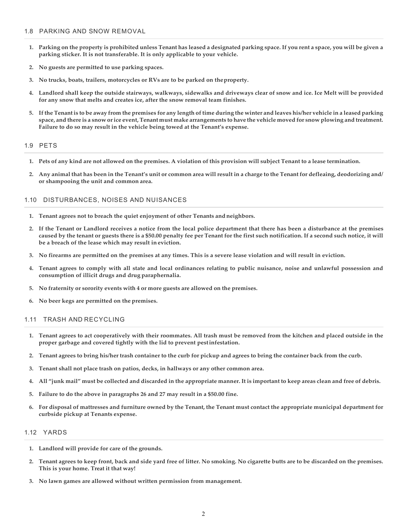- 1. Parking on the property is prohibited unless Tenant has leased a designated parking space. If you rent a space, you will be given a **parking sticker. It is not transferable. It is only applicable to your vehicle.**
- **2. No guests are permitted to use parking spaces.**
- **3. No trucks, boats, trailers, motorcycles or RVs are to be parked on theproperty.**
- 4. Landlord shall keep the outside stairways, walkways, sidewalks and driveways clear of snow and ice. Ice Melt will be provided **for any snow that melts and creates ice, after the snow removal team finishes.**
- 5. If the Tenant is to be away from the premises for any length of time during the winter and leaves his/her vehicle in a leased parking space, and there is a snow or ice event, Tenant must make arrangements to have the vehicle moved for snow plowing and treatment. **Failure to do so may result in the vehicle being towed at the Tenant's expense.**

## 1.9 PETS

- 1. Pets of any kind are not allowed on the premises. A violation of this provision will subject Tenant to a lease termination.
- Any animal that has been in the Tenant's unit or common area will result in a charge to the Tenant for defleaing, deodorizing and/ **or shampooing the unit and common area.**

#### 1.10 DISTURBANCES, NOISES AND NUISANCES

- **1. Tenant agrees not to breach the quiet enjoyment of other Tenants andneighbors.**
- **2. If the Tenant or Landlord receives a notice from the local police department that there has been a disturbance at the premises**  caused by the tenant or guests there is a \$50.00 penalty fee per Tenant for the first such notification. If a second such notice, it will **be a breach of the lease which may result in eviction.**
- **3. No firearms are permitted on the premises at any times. This is a severe lease violation and will result in eviction.**
- **4. Tenant agrees to comply with all state and local ordinances relating to public nuisance, noise and unlawful possession and consumption of illicit drugs and drug paraphernalia.**
- **5. No fraternity or sorority events with 4 or more guests are allowed on the premises.**
- **6. No beer kegs are permitted on the premises.**

## 1.11 TRASH AND RECYCLING

- **1. Tenant agrees to act cooperatively with their roommates. All trash must be removed from the kitchen and placed outside in the proper garbage and covered tightly with the lid to prevent pestinfestation.**
- 2. Tenant agrees to bring his/her trash container to the curb for pickup and agrees to bring the container back from the curb.
- **3. Tenant shall not place trash on patios, decks, in hallways or any other common area.**
- 4. All "junk mail" must be collected and discarded in the appropriate manner. It is important to keep areas clean and free of debris.
- **5. Failure to do the above in paragraphs 26 and 27 may result in a \$50.00 fine.**
- 6. For disposal of mattresses and furniture owned by the Tenant, the Tenant must contact the appropriate municipal department for **curbside pickup at Tenants expense.**

#### 1.12 YARDS

- **1. Landlord will provide for care of the grounds.**
- 2. Tenant agrees to keep front, back and side yard free of litter. No smoking. No cigarette butts are to be discarded on the premises. **This is your home. Treat it that way!**
- **3. No lawn games are allowed without written permission from management.**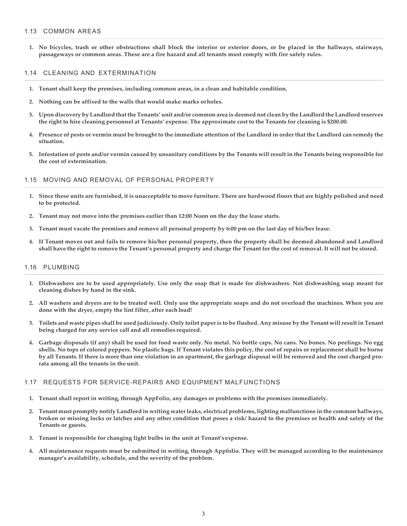## 1.13 COMMON AREAS

**1. No bicycles, trash or other obstructions shall block the interior or exterior doors, or be placed in the hallways, stairways, passageways or common areas. These are a fire hazard and all tenants must comply with fire safety rules.**

#### 1.14 CLEANING AND EXTERMINATION

- **1. Tenant shall keep the premises, including common areas, in a clean and habitable condition.**
- **2. Nothing can be affixed to the walls that would make marks orholes.**
- 3. Upon discovery by Landlord that the Tenants' unit and/or common area is deemed not clean by the Landlord the Landlord reserves the right to hire cleaning personnel at Tenants' expense. The approximate cost to the Tenants for cleaning is \$200.00.
- Presence of pests or vermin must be brought to the immediate attention of the Landlord in order that the Landlord can remedy the **situation.**
- 5. Infestation of pests and/or vermin caused by unsanitary conditions by the Tenants will result in the Tenants being responsible for **the cost of extermination.**

#### 1.15 MOVING AND REMOVAL OF PERSONAL PROPERTY

- 1. Since these units are furnished, it is unacceptable to move furniture. There are hardwood floors that are highly polished and need **to be protected.**
- **2. Tenant may not move into the premises earlier than 12:00 Noon on the day the lease starts.**
- 3. Tenant must vacate the premises and remove all personal property by 6:00 pm on the last day of his/her lease.
- **4. If Tenant moves out and fails to remove his/her personal property, then the property shall be deemed abandoned and Landlord**  shall have the right to remove the Tenant's personal property and charge the Tenant for the cost of removal. It will not be stored.

#### 1.16 PLUMBING

- **1. Dishwashers are to be used appropriately. Use only the soap that is made for dishwashers. Not dishwashing soap meant for cleaning dishes by hand in the sink.**
- **2. All washers and dryers are to be treated well. Only use the appropriate soaps and do not overload the machines. When you are done with the dryer, empty the lint filter, after eachload!**
- 3. Toilets and waste pipes shall be used judiciously. Only toilet paper is to be flushed. Any misuse by the Tenant will result in Tenant **being charged for any service call and all remedies required.**
- **4. Garbage disposals (if any) shall be used for food waste only. No metal. No bottle caps. No cans. No bones. No peelings. No egg**  shells. No tops of colored peppers. No plastic bags. If Tenant violates this policy, the cost of repairs or replacement shall be borne by all Tenants. If there is more than one violation in an apartment, the garbage disposal will be removed and the cost charged pro**rata among all the tenants in the unit.**

#### 1.17 REQUESTS FOR SERVICE-REPAIRS AND EQUIPMENT MALFUNCTIONS

- **1. Tenant shall report in writing, through AppFolio, any damages or problems with the premises immediately.**
- Tenant must promptly notify Landlord in writing water leaks, electrical problems, lighting malfunctions in the common hallways, **broken or missing locks or latches and any other condition that poses a risk/ hazard to the premises or health and safety of the Tenants or guests.**
- **3. Tenant is responsible for changing light bulbs in the unit at Tenant'sexpense.**
- 4. All maintenance requests must be submitted in writing, through Appfolio. They will be managed according to the maintenance **manager's availability, schedule, and the severity of the problem.**